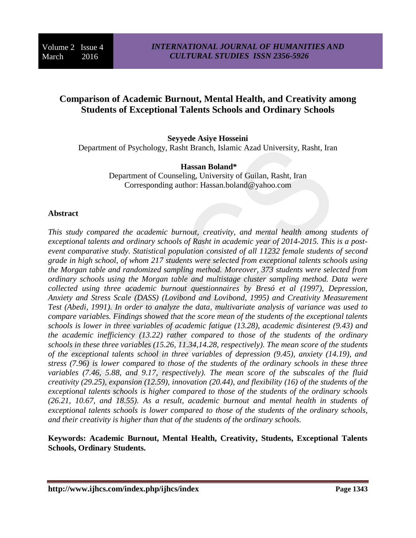# **Comparison of Academic Burnout, Mental Health, and Creativity among Students of Exceptional Talents Schools and Ordinary Schools**

#### **Seyyede Asiye Hosseini**

Department of Psychology, Rasht Branch, Islamic Azad University, Rasht, Iran

#### **Hassan Boland\***

Department of Counseling, University of Guilan, Rasht, Iran Corresponding author: Hassan.boland@yahoo.com

#### **Abstract**

*This study compared the academic burnout, creativity, and mental health among students of exceptional talents and ordinary schools of Rasht in academic year of 2014-2015. This is a postevent comparative study. Statistical population consisted of all 11232 female students of second grade in high school, of whom 217 students were selected from exceptional talents schools using the Morgan table and randomized sampling method. Moreover, 373 students were selected from ordinary schools using the Morgan table and multistage cluster sampling method. Data were collected using three academic burnout questionnaires by Bresó et al (1997), Depression, Anxiety and Stress Scale (DASS) (Lovibond and Lovibond, 1995) and Creativity Measurement Test (Abedi, 1991). In order to analyze the data, multivariate analysis of variance was used to compare variables. Findings showed that the score mean of the students of the exceptional talents schools is lower in three variables of academic fatigue (13.28), academic disinterest (9.43) and the academic inefficiency (13.22) rather compared to those of the students of the ordinary schools in these three variables (15.26, 11.34,14.28, respectively). The mean score of the students of the exceptional talents school in three variables of depression (9.45), anxiety (14.19), and stress (7.96) is lower compared to those of the students of the ordinary schools in these three variables (7.46, 5.88, and 9.17, respectively). The mean score of the subscales of the fluid creativity (29.25), expansion (12.59), innovation (20.44), and flexibility (16) of the students of the exceptional talents schools is higher compared to those of the students of the ordinary schools (26.21, 10.67, and 18.55). As a result, academic burnout and mental health in students of exceptional talents schools is lower compared to those of the students of the ordinary schools, and their creativity is higher than that of the students of the ordinary schools.*

**Keywords: Academic Burnout, Mental Health, Creativity, Students, Exceptional Talents Schools, Ordinary Students.**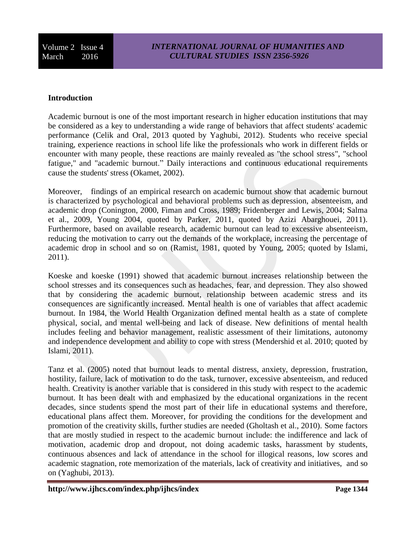### **Introduction**

Academic burnout is one of the most important research in higher education institutions that may be considered as a key to understanding a wide range of behaviors that affect students' academic performance (Celik and Oral, 2013 quoted by Yaghubi, 2012). Students who receive special training, experience reactions in school life like the professionals who work in different fields or encounter with many people, these reactions are mainly revealed as "the school stress", "school fatigue," and "academic burnout." Daily interactions and continuous educational requirements cause the students' stress (Okamet, 2002).

Moreover, findings of an empirical research on academic burnout show that academic burnout is characterized by psychological and behavioral problems such as depression, absenteeism, and academic drop (Conington, 2000, Fiman and Cross, 1989; Fridenberger and Lewis, 2004; Salma et al., 2009, Young 2004, quoted by Parker, 2011, quoted by Azizi Abarghouei, 2011). Furthermore, based on available research, academic burnout can lead to excessive absenteeism, reducing the motivation to carry out the demands of the workplace, increasing the percentage of academic drop in school and so on (Ramist, 1981, quoted by Young, 2005; quoted by Islami, 2011).

Koeske and koeske (1991) showed that academic burnout increases relationship between the school stresses and its consequences such as headaches, fear, and depression. They also showed that by considering the academic burnout, relationship between academic stress and its consequences are significantly increased. Mental health is one of variables that affect academic burnout. In 1984, the World Health Organization defined mental health as a state of complete physical, social, and mental well-being and lack of disease. New definitions of mental health includes feeling and behavior management, realistic assessment of their limitations, autonomy and independence development and ability to cope with stress (Mendershid et al. 2010; quoted by Islami, 2011).

Tanz et al. (2005) noted that burnout leads to mental distress, anxiety, depression, frustration, hostility, failure, lack of motivation to do the task, turnover, excessive absenteeism, and reduced health. Creativity is another variable that is considered in this study with respect to the academic burnout. It has been dealt with and emphasized by the educational organizations in the recent decades, since students spend the most part of their life in educational systems and therefore, educational plans affect them. Moreover, for providing the conditions for the development and promotion of the creativity skills, further studies are needed (Gholtash et al., 2010). Some factors that are mostly studied in respect to the academic burnout include: the indifference and lack of motivation, academic drop and dropout, not doing academic tasks, harassment by students, continuous absences and lack of attendance in the school for illogical reasons, low scores and academic stagnation, rote memorization of the materials, lack of creativity and initiatives, and so on (Yaghubi, 2013).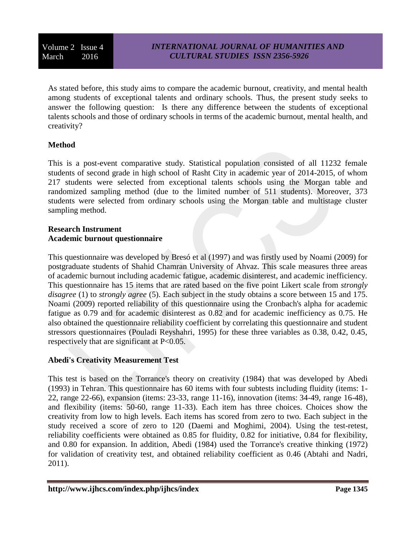As stated before, this study aims to compare the academic burnout, creativity, and mental health among students of exceptional talents and ordinary schools. Thus, the present study seeks to answer the following question: Is there any difference between the students of exceptional talents schools and those of ordinary schools in terms of the academic burnout, mental health, and creativity?

## **Method**

This is a post-event comparative study. Statistical population consisted of all 11232 female students of second grade in high school of Rasht City in academic year of 2014-2015, of whom 217 students were selected from exceptional talents schools using the Morgan table and randomized sampling method (due to the limited number of 511 students). Moreover, 373 students were selected from ordinary schools using the Morgan table and multistage cluster sampling method.

### **Research Instrument Academic burnout questionnaire**

This questionnaire was developed by Bresó et al (1997) and was firstly used by Noami (2009) for postgraduate students of Shahid Chamran University of Ahvaz. This scale measures three areas of academic burnout including academic fatigue, academic disinterest, and academic inefficiency. This questionnaire has 15 items that are rated based on the five point Likert scale from *strongly disagree* (1) to *strongly agree* (5). Each subject in the study obtains a score between 15 and 175. Noami (2009) reported reliability of this questionnaire using the Cronbach's alpha for academic fatigue as 0.79 and for academic disinterest as 0.82 and for academic inefficiency as 0.75. He also obtained the questionnaire reliability coefficient by correlating this questionnaire and student stressors questionnaires (Pouladi Reyshahri, 1995) for these three variables as 0.38, 0.42, 0.45, respectively that are significant at P<0.05.

## **Abedi's Creativity Measurement Test**

This test is based on the Torrance's theory on creativity (1984) that was developed by Abedi (1993) in Tehran. This questionnaire has 60 items with four subtests including fluidity (items: 1- 22, range 22-66), expansion (items: 23-33, range 11-16), innovation (items: 34-49, range 16-48), and flexibility (items: 50-60, range 11-33). Each item has three choices. Choices show the creativity from low to high levels. Each items has scored from zero to two. Each subject in the study received a score of zero to 120 (Daemi and Moghimi, 2004). Using the test-retest, reliability coefficients were obtained as 0.85 for fluidity, 0.82 for initiative, 0.84 for flexibility, and 0.80 for expansion. In addition, Abedi (1984) used the Torrance's creative thinking (1972) for validation of creativity test, and obtained reliability coefficient as 0.46 (Abtahi and Nadri, 2011).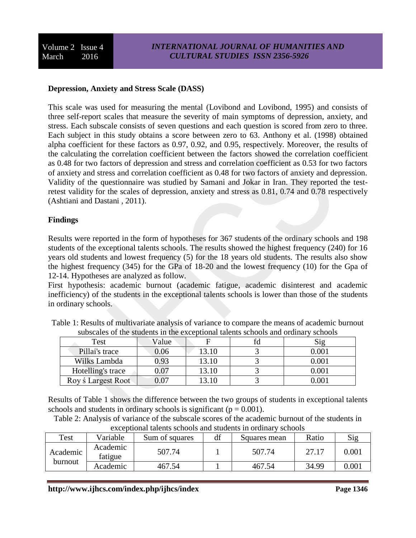## **Depression, Anxiety and Stress Scale (DASS)**

This scale was used for measuring the mental (Lovibond and Lovibond, 1995) and consists of three self-report scales that measure the severity of main symptoms of depression, anxiety, and stress. Each subscale consists of seven questions and each question is scored from zero to three. Each subject in this study obtains a score between zero to 63. Anthony et al. (1998) obtained alpha coefficient for these factors as 0.97, 0.92, and 0.95, respectively. Moreover, the results of the calculating the correlation coefficient between the factors showed the correlation coefficient as 0.48 for two factors of depression and stress and correlation coefficient as 0.53 for two factors of anxiety and stress and correlation coefficient as 0.48 for two factors of anxiety and depression. Validity of the questionnaire was studied by Samani and Jokar in Iran. They reported the testretest validity for the scales of depression, anxiety and stress as 0.81, 0.74 and 0.78 respectively (Ashtiani and Dastani , 2011).

### **Findings**

Results were reported in the form of hypotheses for 367 students of the ordinary schools and 198 students of the exceptional talents schools. The results showed the highest frequency (240) for 16 years old students and lowest frequency (5) for the 18 years old students. The results also show the highest frequency (345) for the GPa of 18-20 and the lowest frequency (10) for the Gpa of 12-14. Hypotheses are analyzed as follow.

First hypothesis: academic burnout (academic fatigue, academic disinterest and academic inefficiency) of the students in the exceptional talents schools is lower than those of the students in ordinary schools.

| <u>DWODVWIVD OI WIV DWWWJIWD III WIV VAVVDUOIWH WIVIIWD DVIIOOID WIIW OIWIIWI 1</u><br><u>UVIIVVID</u> |       |       |  |           |  |  |  |
|--------------------------------------------------------------------------------------------------------|-------|-------|--|-----------|--|--|--|
| Test                                                                                                   | Value |       |  | $\rm S12$ |  |  |  |
| Pillai's trace                                                                                         | 0.06  | 13.10 |  | $0.001\,$ |  |  |  |
| Wilks Lambda                                                                                           | 9.3   | 13.10 |  | $0.001\,$ |  |  |  |
| Hotelling's trace                                                                                      | 0.07  | 13.10 |  | 0.001     |  |  |  |
| Roy ś Largest Root                                                                                     | 0.07  | 13.10 |  | 0.00      |  |  |  |

Table 1: Results of multivariate analysis of variance to compare the means of academic burnout subscales of the students in the exceptional talents schools and ordinary schools

Results of Table 1 shows the difference between the two groups of students in exceptional talents schools and students in ordinary schools is significant ( $p = 0.001$ ).

Table 2: Analysis of variance of the subscale scores of the academic burnout of the students in exceptional talents schools and students in ordinary schools

| Test     | Variable                      | Sum of squares | df     | Squares mean | Ratio | Sig   |
|----------|-------------------------------|----------------|--------|--------------|-------|-------|
| Academic | Academic<br>507.74<br>fatigue |                | 507.74 | 27.17        | 0.001 |       |
| burnout  | Academic                      | 467.54         |        | 467.54       | 34.99 | 0.001 |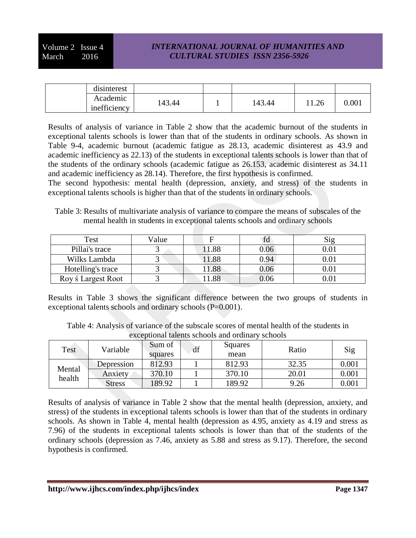## *INTERNATIONAL JOURNAL OF HUMANITIES AND CULTURAL STUDIES ISSN 2356-5926*

| disinterest              |        |        |       |       |
|--------------------------|--------|--------|-------|-------|
| Academic<br>inefficiency | 143.44 | 143.44 | 11.26 | 0.001 |

Results of analysis of variance in Table 2 show that the academic burnout of the students in exceptional talents schools is lower than that of the students in ordinary schools. As shown in Table 9-4, academic burnout (academic fatigue as 28.13, academic disinterest as 43.9 and academic inefficiency as 22.13) of the students in exceptional talents schools is lower than that of the students of the ordinary schools (academic fatigue as 26.153, academic disinterest as 34.11 and academic inefficiency as 28.14). Therefore, the first hypothesis is confirmed.

The second hypothesis: mental health (depression, anxiety, and stress) of the students in exceptional talents schools is higher than that of the students in ordinary schools.

Table 3: Results of multivariate analysis of variance to compare the means of subscales of the mental health in students in exceptional talents schools and ordinary schools

| Test                      | Value | F    | fО       | Sig |
|---------------------------|-------|------|----------|-----|
| Pillai's trace            |       | 1.88 | 0.06     |     |
| Wilks Lambda              |       | 1.88 | 0.94     |     |
| Hotelling's trace         |       | 1.88 | $0.06\,$ |     |
| Roy <i>s</i> Largest Root |       | .88  | 0.06     |     |

Results in Table 3 shows the significant difference between the two groups of students in exceptional talents schools and ordinary schools (P=0.001).

Table 4: Analysis of variance of the subscale scores of mental health of the students in exceptional talents schools and ordinary schools

| Test   | Variable      | Sum of<br>squares | df | Squares<br>mean | Ratio | Sig   |
|--------|---------------|-------------------|----|-----------------|-------|-------|
|        | Depression    | 812.93            |    | 812.93          | 32.35 | 0.001 |
| Mental | Anxiety       | 370.10            |    | 370.10          | 20.01 | 0.001 |
| health | <b>Stress</b> | 89.92             |    | 189.92          | 9.26  | 0.001 |

Results of analysis of variance in Table 2 show that the mental health (depression, anxiety, and stress) of the students in exceptional talents schools is lower than that of the students in ordinary schools. As shown in Table 4, mental health (depression as 4.95, anxiety as 4.19 and stress as 7.96) of the students in exceptional talents schools is lower than that of the students of the ordinary schools (depression as 7.46, anxiety as 5.88 and stress as 9.17). Therefore, the second hypothesis is confirmed.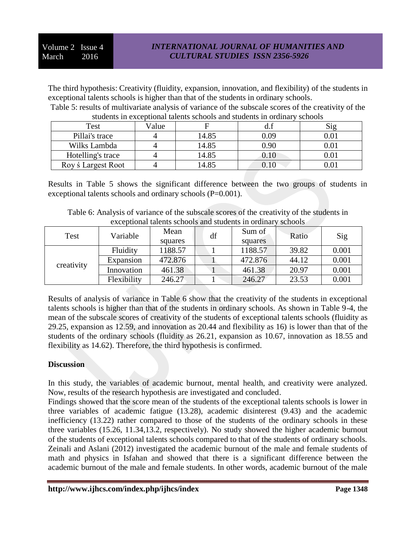The third hypothesis: Creativity (fluidity, expansion, innovation, and flexibility) of the students in exceptional talents schools is higher than that of the students in ordinary schools.

Table 5: results of multivariate analysis of variance of the subscale scores of the creativity of the students in exceptional talents schools and students in ordinary schools

| Test                      | Value |       |          | 519      |
|---------------------------|-------|-------|----------|----------|
| Pillai's trace            |       | 14.85 | 0.09     | $0.01\,$ |
| Wilks Lambda              |       | 14.85 | 0.90     |          |
| Hotelling's trace         |       | 14.85 | $0.10\,$ |          |
| Roy <i>s</i> Largest Root |       | 14.85 |          |          |

Results in Table 5 shows the significant difference between the two groups of students in exceptional talents schools and ordinary schools (P=0.001).

Table 6: Analysis of variance of the subscale scores of the creativity of the students in exceptional talents schools and students in ordinary schools

| Test       | Variable        | Mean<br>squares | df | Sum of<br>squares | Ratio | Sig   |
|------------|-----------------|-----------------|----|-------------------|-------|-------|
| creativity | <b>Fluidity</b> | 1188.57         |    | 1188.57           | 39.82 | 0.001 |
|            | Expansion       | 472.876         |    | 472.876           | 44.12 | 0.001 |
|            | Innovation      | 461.38          |    | 461.38            | 20.97 | 0.001 |
|            | Flexibility     | 246.27          |    | 246.27            | 23.53 | 0.001 |

Results of analysis of variance in Table 6 show that the creativity of the students in exceptional talents schools is higher than that of the students in ordinary schools. As shown in Table 9-4, the mean of the subscale scores of creativity of the students of exceptional talents schools (fluidity as 29.25, expansion as 12.59, and innovation as 20.44 and flexibility as 16) is lower than that of the students of the ordinary schools (fluidity as 26.21, expansion as 10.67, innovation as 18.55 and flexibility as 14.62). Therefore, the third hypothesis is confirmed.

## **Discussion**

In this study, the variables of academic burnout, mental health, and creativity were analyzed. Now, results of the research hypothesis are investigated and concluded.

Findings showed that the score mean of the students of the exceptional talents schools is lower in three variables of academic fatigue (13.28), academic disinterest (9.43) and the academic inefficiency (13.22) rather compared to those of the students of the ordinary schools in these three variables (15.26, 11.34,13.2, respectively). No study showed the higher academic burnout of the students of exceptional talents schools compared to that of the students of ordinary schools. Zeinali and Aslani (2012) investigated the academic burnout of the male and female students of math and physics in Isfahan and showed that there is a significant difference between the academic burnout of the male and female students. In other words, academic burnout of the male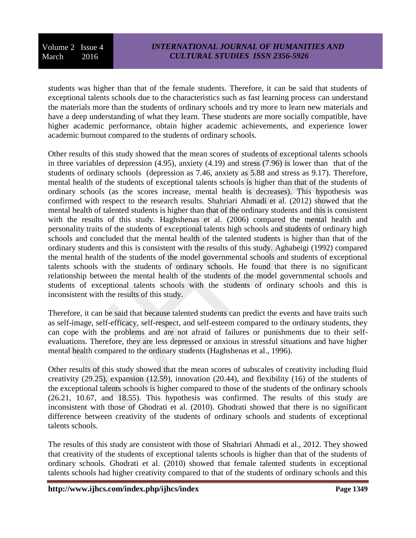students was higher than that of the female students. Therefore, it can be said that students of exceptional talents schools due to the characteristics such as fast learning process can understand the materials more than the students of ordinary schools and try more to learn new materials and have a deep understanding of what they learn. These students are more socially compatible, have higher academic performance, obtain higher academic achievements, and experience lower academic burnout compared to the students of ordinary schools.

Other results of this study showed that the mean scores of students of exceptional talents schools in three variables of depression (4.95), anxiety (4.19) and stress (7.96) is lower than that of the students of ordinary schools (depression as 7.46, anxiety as 5.88 and stress as 9.17). Therefore, mental health of the students of exceptional talents schools is higher than that of the students of ordinary schools (as the scores increase, mental health is decreases). This hypothesis was confirmed with respect to the research results. Shahriari Ahmadi et al. (2012) showed that the mental health of talented students is higher than that of the ordinary students and this is consistent with the results of this study. Haghshenas et al. (2006) compared the mental health and personality traits of the students of exceptional talents high schools and students of ordinary high schools and concluded that the mental health of the talented students is higher than that of the ordinary students and this is consistent with the results of this study. Aghabeigi (1992) compared the mental health of the students of the model governmental schools and students of exceptional talents schools with the students of ordinary schools. He found that there is no significant relationship between the mental health of the students of the model governmental schools and students of exceptional talents schools with the students of ordinary schools and this is inconsistent with the results of this study.

Therefore, it can be said that because talented students can predict the events and have traits such as self-image, self-efficacy, self-respect, and self-esteem compared to the ordinary students, they can cope with the problems and are not afraid of failures or punishments due to their selfevaluations. Therefore, they are less depressed or anxious in stressful situations and have higher mental health compared to the ordinary students (Haghshenas et al., 1996).

Other results of this study showed that the mean scores of subscales of creativity including fluid creativity (29.25), expansion (12.59), innovation (20.44), and flexibility (16) of the students of the exceptional talents schools is higher compared to those of the students of the ordinary schools (26.21, 10.67, and 18.55). This hypothesis was confirmed. The results of this study are inconsistent with those of Ghodrati et al. (2010). Ghodrati showed that there is no significant difference between creativity of the students of ordinary schools and students of exceptional talents schools.

The results of this study are consistent with those of Shahriari Ahmadi et al., 2012. They showed that creativity of the students of exceptional talents schools is higher than that of the students of ordinary schools. Ghodrati et al. (2010) showed that female talented students in exceptional talents schools had higher creativity compared to that of the students of ordinary schools and this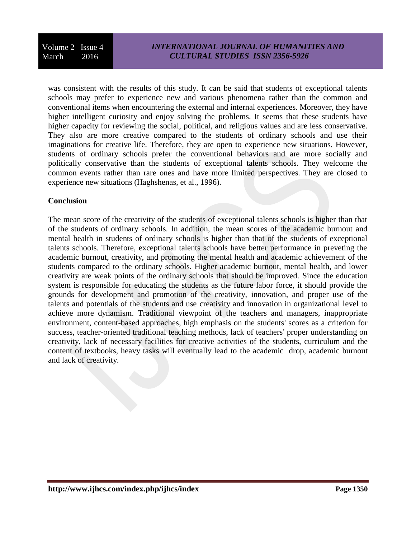was consistent with the results of this study. It can be said that students of exceptional talents schools may prefer to experience new and various phenomena rather than the common and conventional items when encountering the external and internal experiences. Moreover, they have higher intelligent curiosity and enjoy solving the problems. It seems that these students have higher capacity for reviewing the social, political, and religious values and are less conservative. They also are more creative compared to the students of ordinary schools and use their imaginations for creative life. Therefore, they are open to experience new situations. However, students of ordinary schools prefer the conventional behaviors and are more socially and politically conservative than the students of exceptional talents schools. They welcome the common events rather than rare ones and have more limited perspectives. They are closed to experience new situations (Haghshenas, et al., 1996).

## **Conclusion**

The mean score of the creativity of the students of exceptional talents schools is higher than that of the students of ordinary schools. In addition, the mean scores of the academic burnout and mental health in students of ordinary schools is higher than that of the students of exceptional talents schools. Therefore, exceptional talents schools have better performance in preveting the academic burnout, creativity, and promoting the mental health and academic achievement of the students compared to the ordinary schools. Higher academic burnout, mental health, and lower creativity are weak points of the ordinary schools that should be improved. Since the education system is responsible for educating the students as the future labor force, it should provide the grounds for development and promotion of the creativity, innovation, and proper use of the talents and potentials of the students and use creativity and innovation in organizational level to achieve more dynamism. Traditional viewpoint of the teachers and managers, inappropriate environment, content-based approaches, high emphasis on the students' scores as a criterion for success, teacher-oriented traditional teaching methods, lack of teachers' proper understanding on creativity, lack of necessary facilities for creative activities of the students, curriculum and the content of textbooks, heavy tasks will eventually lead to the academic drop, academic burnout and lack of creativity.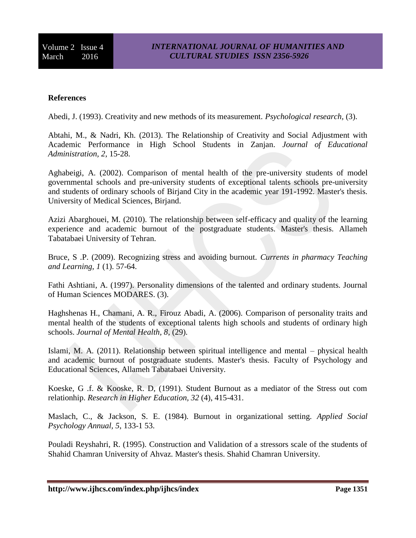## **References**

Abedi, J. (1993). Creativity and new methods of its measurement. *Psychological research,* (3).

Abtahi, M., & Nadri, Kh. (2013). The Relationship of Creativity and Social Adjustment with Academic Performance in High School Students in Zanjan. *Journal of Educational Administration, 2*, 15-28.

Aghabeigi, A. (2002). Comparison of mental health of the pre-university students of model governmental schools and pre-university students of exceptional talents schools pre-university and students of ordinary schools of Birjand City in the academic year 191-1992. Master's thesis. University of Medical Sciences, Birjand.

Azizi Abarghouei, M. (2010). The relationship between self-efficacy and quality of the learning experience and academic burnout of the postgraduate students. Master's thesis. Allameh Tabatabaei University of Tehran.

Bruce, S .P. (2009). Recognizing stress and avoiding burnout. *Currents in pharmacy Teaching and Learning, 1* (1). 57-64.

Fathi Ashtiani, A. (1997). Personality dimensions of the talented and ordinary students. Journal of Human Sciences MODARES. (3).

Haghshenas H., Chamani, A. R., Firouz Abadi, A. (2006). Comparison of personality traits and mental health of the students of exceptional talents high schools and students of ordinary high schools. *Journal of Mental Health, 8*, (29).

Islami, M. A. (2011). Relationship between spiritual intelligence and mental – physical health and academic burnout of postgraduate students. Master's thesis. Faculty of Psychology and Educational Sciences, Allameh Tabatabaei University.

Koeske, G .f. & Kooske, R. D, (1991). Student Burnout as a mediator of the Stress out com relationhip. *Research in Higher Education, 32* (4), 415-431.

Maslach, C., & Jackson, S. E. (1984). Burnout in organizational setting. *Applied Social Psychology Annual, 5*, 133-1 53.

Pouladi Reyshahri, R. (1995). Construction and Validation of a stressors scale of the students of Shahid Chamran University of Ahvaz. Master's thesis. Shahid Chamran University.